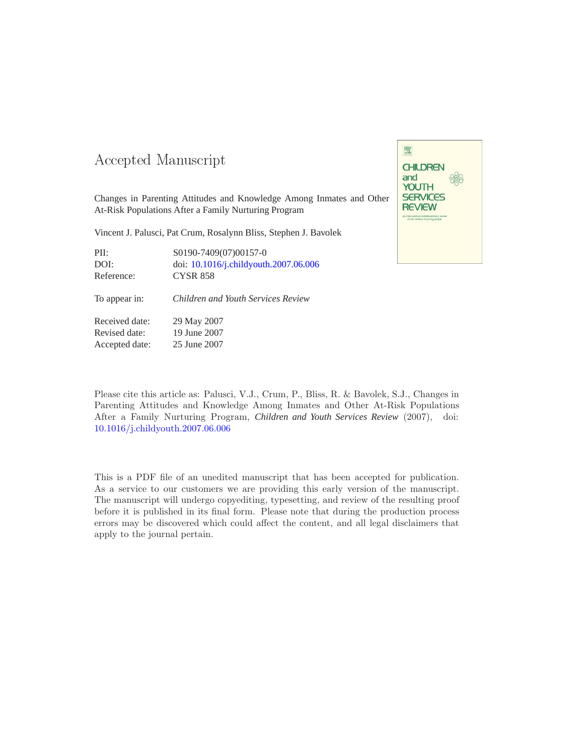### -- -

Changes in Parenting Attitudes and Knowledge Among Inmates and Other At-Risk Populations After a Family Nurturing Program

Vincent J. Palusci, Pat Crum, Rosalynn Bliss, Stephen J. Bavolek

| PII:       | S0190-7409(07)00157-0                 |
|------------|---------------------------------------|
| DOI:       | doi: 10.1016/j.childyouth.2007.06.006 |
| Reference: | <b>CYSR 858</b>                       |

To appear in: *Children and Youth Services Review*

Received date: 29 May 2007 Revised date: 19 June 2007 Accepted date: 25 June 2007



Please cite this article as: Palusci, V.J., Crum, P., Bliss, R. & Bavolek, S.J., Changes in Parenting Attitudes and Knowledge Among Inmates and Other At-Risk Populations After a Family Nurturing Program, *Children and Youth Services Review* (2007), doi: [10.1016/j.childyouth.2007.06.006](http://dx.doi.org/10.1016/j.childyouth.2007.06.006)

This is a PDF file of an unedited manuscript that has been accepted for publication. As a service to our customers we are providing this early version of the manuscript. The manuscript will undergo copyediting, typesetting, and review of the resulting proof before it is published in its final form. Please note that during the production process errors may be discovered which could affect the content, and all legal disclaimers that apply to the journal pertain.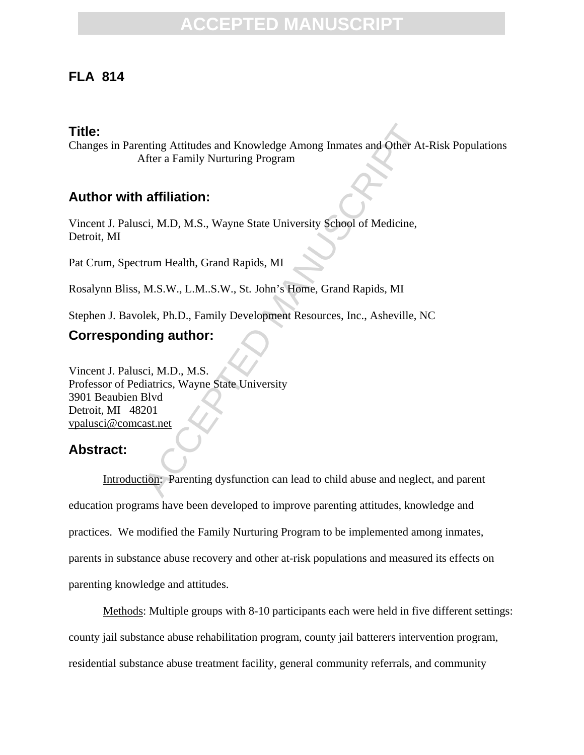### **FLA 814**

#### **Title:**

Changes in Parenting Attitudes and Knowledge Among Inmates and Other At-Risk Populations After a Family Nurturing Program

### **Author with affiliation:**

Vincent J. Palusci, M.D, M.S., Wayne State University School of Medicine, Detroit, MI

Pat Crum, Spectrum Health, Grand Rapids, MI

Rosalynn Bliss, M.S.W., L.M..S.W., St. John's Home, Grand Rapids, MI

Stephen J. Bavolek, Ph.D., Family Development Resources, Inc., Asheville, NC

### **Corresponding author:**

nting Attitudes and Knowledge Among Inmates and Other Attier a Family Nurturing Program<br> **affiliation:**<br>
Ci, M.D, M.S., Wayne State University School of Medicine,<br>
Trum Health, Grand Rapids, MI<br>
M.S.W., L.M..S.W., St. John Vincent J. Palusci, M.D., M.S. Professor of Pediatrics, Wayne State University 3901 Beaubien Blvd Detroit, MI 48201 vpalusci@comcast.net

### **Abstract:**

Introduction: Parenting dysfunction can lead to child abuse and neglect, and parent education programs have been developed to improve parenting attitudes, knowledge and practices. We modified the Family Nurturing Program to be implemented among inmates, parents in substance abuse recovery and other at-risk populations and measured its effects on parenting knowledge and attitudes.

Methods: Multiple groups with 8-10 participants each were held in five different settings: county jail substance abuse rehabilitation program, county jail batterers intervention program, residential substance abuse treatment facility, general community referrals, and community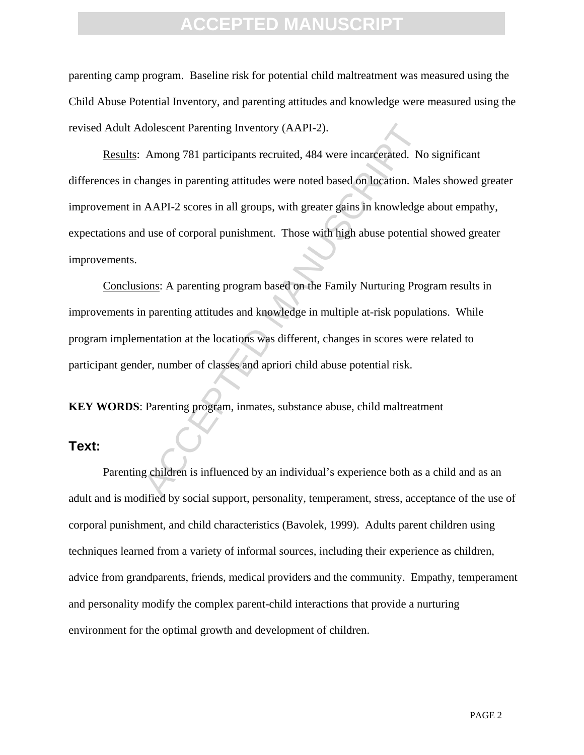parenting camp program. Baseline risk for potential child maltreatment was measured using the Child Abuse Potential Inventory, and parenting attitudes and knowledge were measured using the revised Adult Adolescent Parenting Inventory (AAPI-2).

dolescent Parenting Inventory (AAPI-2).<br>
Among 781 participants recruited, 484 were incarcerated. No<br>
anages in parenting attitudes were noted based on location. Ma<br>
AAPI-2 scores in all groups, with greater gains in knowl Results: Among 781 participants recruited, 484 were incarcerated. No significant differences in changes in parenting attitudes were noted based on location. Males showed greater improvement in AAPI-2 scores in all groups, with greater gains in knowledge about empathy, expectations and use of corporal punishment. Those with high abuse potential showed greater improvements.

Conclusions: A parenting program based on the Family Nurturing Program results in improvements in parenting attitudes and knowledge in multiple at-risk populations. While program implementation at the locations was different, changes in scores were related to participant gender, number of classes and apriori child abuse potential risk.

**KEY WORDS**: Parenting program, inmates, substance abuse, child maltreatment

#### **Text:**

Parenting children is influenced by an individual's experience both as a child and as an adult and is modified by social support, personality, temperament, stress, acceptance of the use of corporal punishment, and child characteristics (Bavolek, 1999). Adults parent children using techniques learned from a variety of informal sources, including their experience as children, advice from grandparents, friends, medical providers and the community. Empathy, temperament and personality modify the complex parent-child interactions that provide a nurturing environment for the optimal growth and development of children.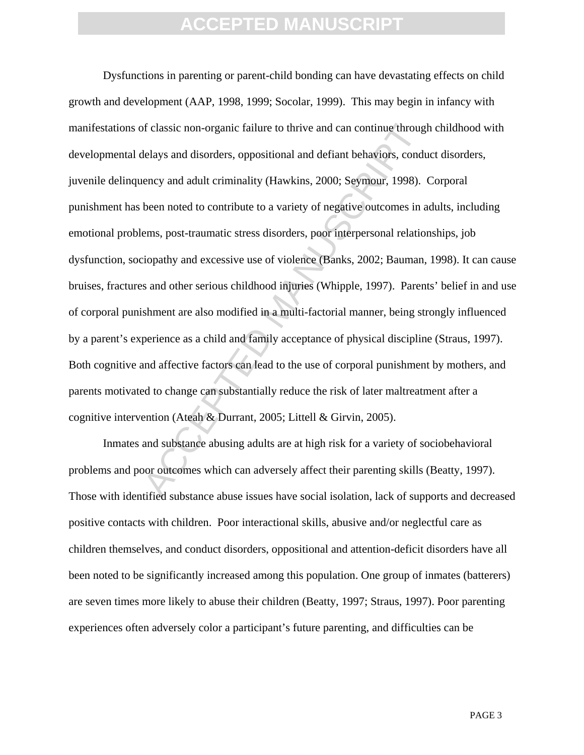of classic non-organic failure to thrive and can continue throughtelays and disorders, oppositional and defiant behaviors, condinency and adult criminality (Hawkins, 2000; Seymour, 1998).<br>been noted to contribute to a vari Dysfunctions in parenting or parent-child bonding can have devastating effects on child growth and development (AAP, 1998, 1999; Socolar, 1999). This may begin in infancy with manifestations of classic non-organic failure to thrive and can continue through childhood with developmental delays and disorders, oppositional and defiant behaviors, conduct disorders, juvenile delinquency and adult criminality (Hawkins, 2000; Seymour, 1998). Corporal punishment has been noted to contribute to a variety of negative outcomes in adults, including emotional problems, post-traumatic stress disorders, poor interpersonal relationships, job dysfunction, sociopathy and excessive use of violence (Banks, 2002; Bauman, 1998). It can cause bruises, fractures and other serious childhood injuries (Whipple, 1997). Parents' belief in and use of corporal punishment are also modified in a multi-factorial manner, being strongly influenced by a parent's experience as a child and family acceptance of physical discipline (Straus, 1997). Both cognitive and affective factors can lead to the use of corporal punishment by mothers, and parents motivated to change can substantially reduce the risk of later maltreatment after a cognitive intervention (Ateah & Durrant, 2005; Littell & Girvin, 2005).

Inmates and substance abusing adults are at high risk for a variety of sociobehavioral problems and poor outcomes which can adversely affect their parenting skills (Beatty, 1997). Those with identified substance abuse issues have social isolation, lack of supports and decreased positive contacts with children. Poor interactional skills, abusive and/or neglectful care as children themselves, and conduct disorders, oppositional and attention-deficit disorders have all been noted to be significantly increased among this population. One group of inmates (batterers) are seven times more likely to abuse their children (Beatty, 1997; Straus, 1997). Poor parenting experiences often adversely color a participant's future parenting, and difficulties can be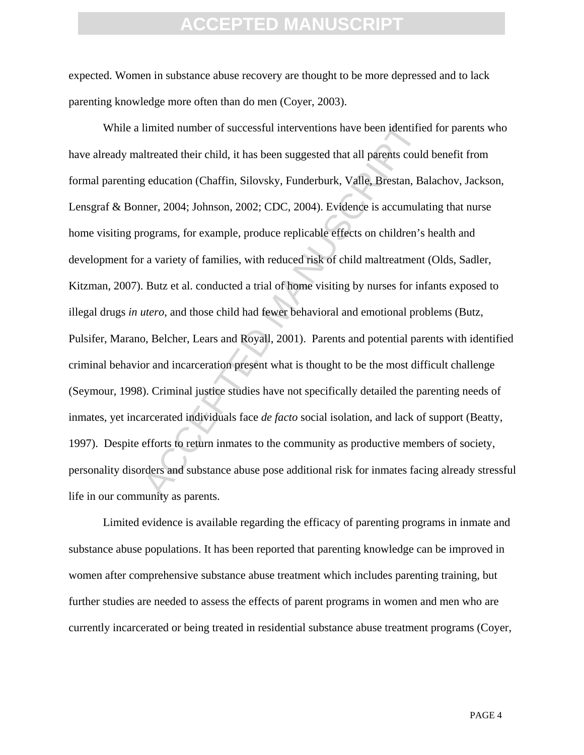expected. Women in substance abuse recovery are thought to be more depressed and to lack parenting knowledge more often than do men (Coyer, 2003).

limited number of successful interventions have been identified<br>threated their child, it has been suggested that all parents could<br>g education (Chaffin, Silovsky, Funderburk, Valle, Brestan, Ba<br>ner, 2004; Johnson, 2002; CD While a limited number of successful interventions have been identified for parents who have already maltreated their child, it has been suggested that all parents could benefit from formal parenting education (Chaffin, Silovsky, Funderburk, Valle, Brestan, Balachov, Jackson, Lensgraf & Bonner, 2004; Johnson, 2002; CDC, 2004). Evidence is accumulating that nurse home visiting programs, for example, produce replicable effects on children's health and development for a variety of families, with reduced risk of child maltreatment (Olds, Sadler, Kitzman, 2007). Butz et al. conducted a trial of home visiting by nurses for infants exposed to illegal drugs *in utero*, and those child had fewer behavioral and emotional problems (Butz, Pulsifer, Marano, Belcher, Lears and Royall, 2001). Parents and potential parents with identified criminal behavior and incarceration present what is thought to be the most difficult challenge (Seymour, 1998). Criminal justice studies have not specifically detailed the parenting needs of inmates, yet incarcerated individuals face *de facto* social isolation, and lack of support (Beatty, 1997). Despite efforts to return inmates to the community as productive members of society, personality disorders and substance abuse pose additional risk for inmates facing already stressful life in our community as parents.

Limited evidence is available regarding the efficacy of parenting programs in inmate and substance abuse populations. It has been reported that parenting knowledge can be improved in women after comprehensive substance abuse treatment which includes parenting training, but further studies are needed to assess the effects of parent programs in women and men who are currently incarcerated or being treated in residential substance abuse treatment programs (Coyer,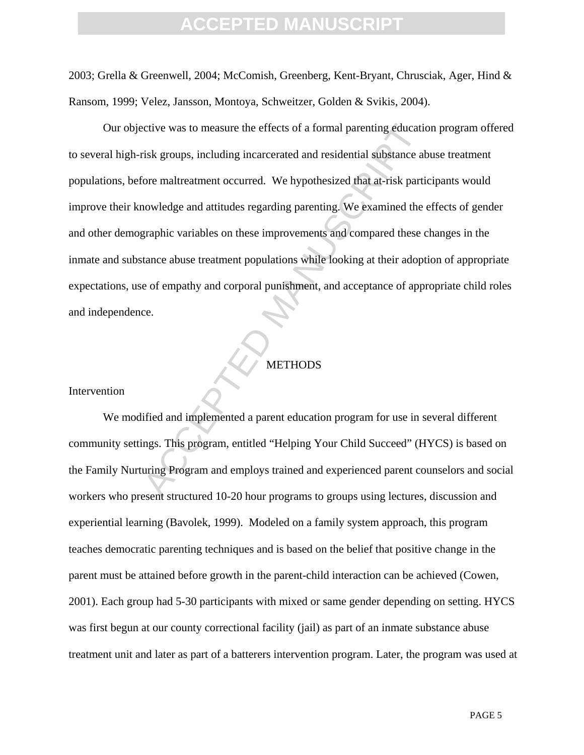2003; Grella & Greenwell, 2004; McComish, Greenberg, Kent-Bryant, Chrusciak, Ager, Hind & Ransom, 1999; Velez, Jansson, Montoya, Schweitzer, Golden & Svikis, 2004).

ctive was to measure the effects of a formal parenting education<br>isk groups, including incarcerated and residential substance at<br>ore maltreatment occurred. We hypothesized that at-risk parti<br>nowledge and attitudes regardin Our objective was to measure the effects of a formal parenting education program offered to several high-risk groups, including incarcerated and residential substance abuse treatment populations, before maltreatment occurred. We hypothesized that at-risk participants would improve their knowledge and attitudes regarding parenting. We examined the effects of gender and other demographic variables on these improvements and compared these changes in the inmate and substance abuse treatment populations while looking at their adoption of appropriate expectations, use of empathy and corporal punishment, and acceptance of appropriate child roles and independence.

#### **METHODS**

#### Intervention

We modified and implemented a parent education program for use in several different community settings. This program, entitled "Helping Your Child Succeed" (HYCS) is based on the Family Nurturing Program and employs trained and experienced parent counselors and social workers who present structured 10-20 hour programs to groups using lectures, discussion and experiential learning (Bavolek, 1999). Modeled on a family system approach, this program teaches democratic parenting techniques and is based on the belief that positive change in the parent must be attained before growth in the parent-child interaction can be achieved (Cowen, 2001). Each group had 5-30 participants with mixed or same gender depending on setting. HYCS was first begun at our county correctional facility (jail) as part of an inmate substance abuse treatment unit and later as part of a batterers intervention program. Later, the program was used at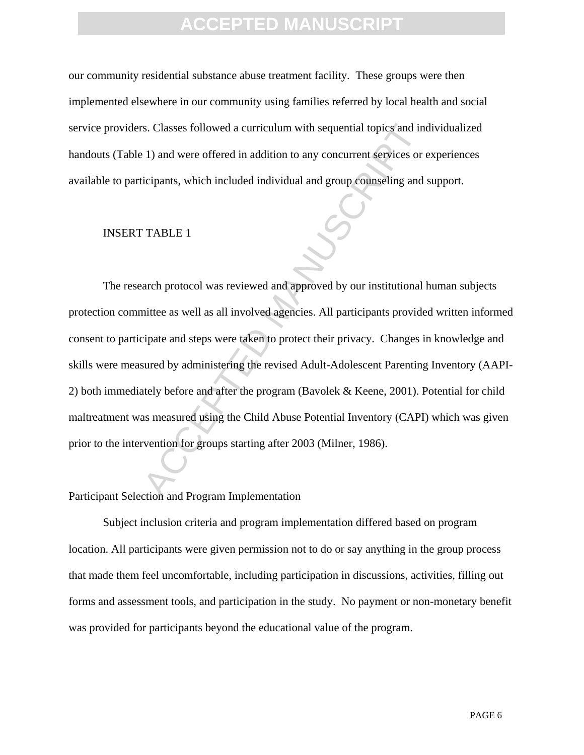our community residential substance abuse treatment facility. These groups were then implemented elsewhere in our community using families referred by local health and social service providers. Classes followed a curriculum with sequential topics and individualized handouts (Table 1) and were offered in addition to any concurrent services or experiences available to participants, which included individual and group counseling and support.

#### INSERT TABLE 1

s. Classes followed a curriculum with sequential topics and in 1) and were offered in addition to any concurrent services or ticipants, which included individual and group counseling and<br>
TABLE 1<br>
arch protocol was reviewe The research protocol was reviewed and approved by our institutional human subjects protection committee as well as all involved agencies. All participants provided written informed consent to participate and steps were taken to protect their privacy. Changes in knowledge and skills were measured by administering the revised Adult-Adolescent Parenting Inventory (AAPI-2) both immediately before and after the program (Bavolek & Keene, 2001). Potential for child maltreatment was measured using the Child Abuse Potential Inventory (CAPI) which was given prior to the intervention for groups starting after 2003 (Milner, 1986).

#### Participant Selection and Program Implementation

Subject inclusion criteria and program implementation differed based on program location. All participants were given permission not to do or say anything in the group process that made them feel uncomfortable, including participation in discussions, activities, filling out forms and assessment tools, and participation in the study. No payment or non-monetary benefit was provided for participants beyond the educational value of the program.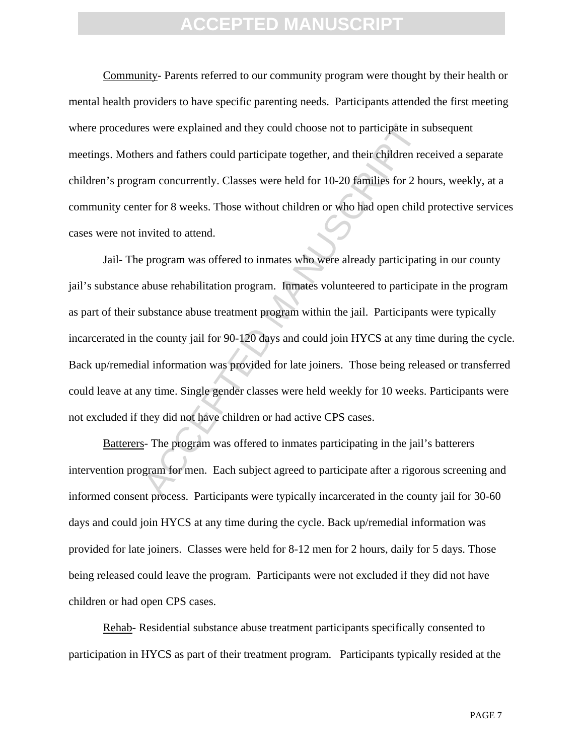Community- Parents referred to our community program were thought by their health or mental health providers to have specific parenting needs. Participants attended the first meeting where procedures were explained and they could choose not to participate in subsequent meetings. Mothers and fathers could participate together, and their children received a separate children's program concurrently. Classes were held for 10-20 families for 2 hours, weekly, at a community center for 8 weeks. Those without children or who had open child protective services cases were not invited to attend.

is a were explained and they could choose not to participate in s<br>res and fathers could participate together, and their children rec<br>am concurrently. Classes were held for 10-20 families for 2 hc<br>er for 8 weeks. Those with Jail- The program was offered to inmates who were already participating in our county jail's substance abuse rehabilitation program. Inmates volunteered to participate in the program as part of their substance abuse treatment program within the jail. Participants were typically incarcerated in the county jail for 90-120 days and could join HYCS at any time during the cycle. Back up/remedial information was provided for late joiners. Those being released or transferred could leave at any time. Single gender classes were held weekly for 10 weeks. Participants were not excluded if they did not have children or had active CPS cases.

Batterers- The program was offered to inmates participating in the jail's batterers intervention program for men. Each subject agreed to participate after a rigorous screening and informed consent process. Participants were typically incarcerated in the county jail for 30-60 days and could join HYCS at any time during the cycle. Back up/remedial information was provided for late joiners. Classes were held for 8-12 men for 2 hours, daily for 5 days. Those being released could leave the program. Participants were not excluded if they did not have children or had open CPS cases.

Rehab- Residential substance abuse treatment participants specifically consented to participation in HYCS as part of their treatment program. Participants typically resided at the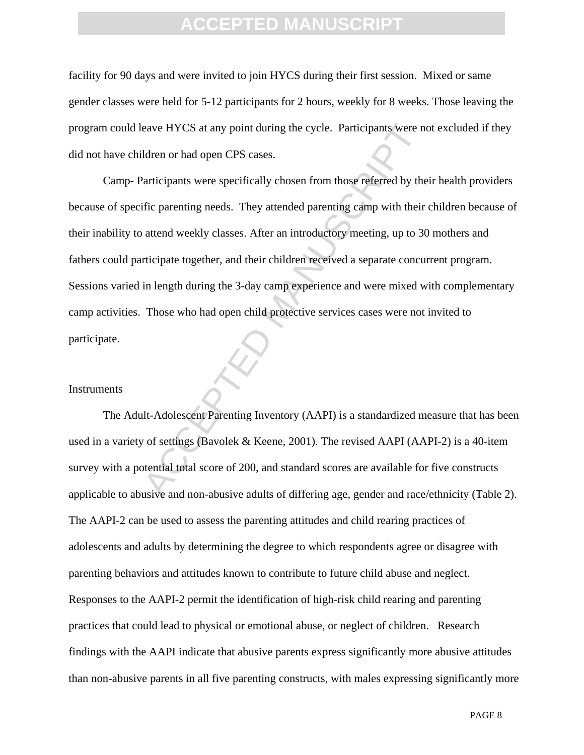facility for 90 days and were invited to join HYCS during their first session. Mixed or same gender classes were held for 5-12 participants for 2 hours, weekly for 8 weeks. Those leaving the program could leave HYCS at any point during the cycle. Participants were not excluded if they did not have children or had open CPS cases.

eave HYCS at any point during the cycle. Participants were not<br>dren or had open CPS cases.<br>Articipants were specifically chosen from those referred by the<br>dific parenting needs. They attended parenting camp with their<br>atte Camp- Participants were specifically chosen from those referred by their health providers because of specific parenting needs. They attended parenting camp with their children because of their inability to attend weekly classes. After an introductory meeting, up to 30 mothers and fathers could participate together, and their children received a separate concurrent program. Sessions varied in length during the 3-day camp experience and were mixed with complementary camp activities. Those who had open child protective services cases were not invited to participate.

#### **Instruments**

The Adult-Adolescent Parenting Inventory (AAPI) is a standardized measure that has been used in a variety of settings (Bavolek & Keene, 2001). The revised AAPI (AAPI-2) is a 40-item survey with a potential total score of 200, and standard scores are available for five constructs applicable to abusive and non-abusive adults of differing age, gender and race/ethnicity (Table 2). The AAPI-2 can be used to assess the parenting attitudes and child rearing practices of adolescents and adults by determining the degree to which respondents agree or disagree with parenting behaviors and attitudes known to contribute to future child abuse and neglect. Responses to the AAPI-2 permit the identification of high-risk child rearing and parenting practices that could lead to physical or emotional abuse, or neglect of children. Research findings with the AAPI indicate that abusive parents express significantly more abusive attitudes than non-abusive parents in all five parenting constructs, with males expressing significantly more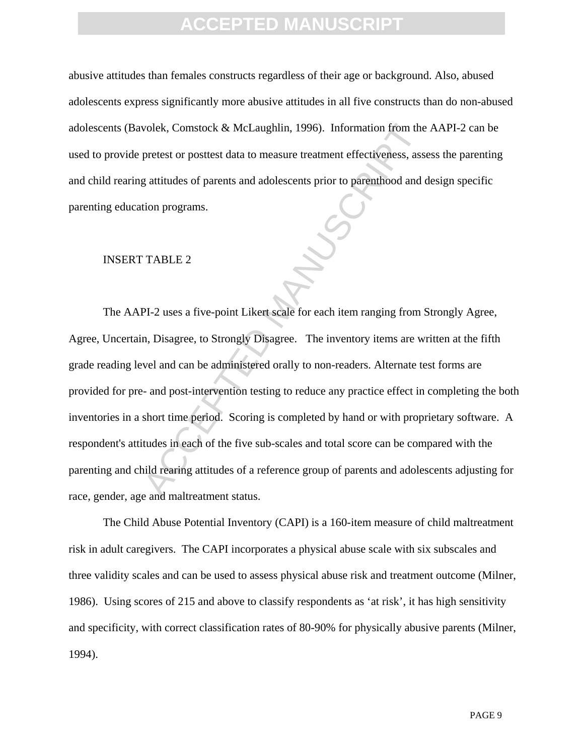abusive attitudes than females constructs regardless of their age or background. Also, abused adolescents express significantly more abusive attitudes in all five constructs than do non-abused adolescents (Bavolek, Comstock & McLaughlin, 1996). Information from the AAPI-2 can be used to provide pretest or posttest data to measure treatment effectiveness, assess the parenting and child rearing attitudes of parents and adolescents prior to parenthood and design specific parenting education programs.

#### INSERT TABLE 2

volek, Comstock & McLaughlin, 1996). Information from the<br>pretest or posttest data to measure treatment effectiveness, asset<br>attitudes of parents and adolescents prior to parenthood and d<br>tion programs.<br>TABLE 2<br>PI-2 uses a The AAPI-2 uses a five-point Likert scale for each item ranging from Strongly Agree, Agree, Uncertain, Disagree, to Strongly Disagree. The inventory items are written at the fifth grade reading level and can be administered orally to non-readers. Alternate test forms are provided for pre- and post-intervention testing to reduce any practice effect in completing the both inventories in a short time period. Scoring is completed by hand or with proprietary software. A respondent's attitudes in each of the five sub-scales and total score can be compared with the parenting and child rearing attitudes of a reference group of parents and adolescents adjusting for race, gender, age and maltreatment status.

The Child Abuse Potential Inventory (CAPI) is a 160-item measure of child maltreatment risk in adult caregivers. The CAPI incorporates a physical abuse scale with six subscales and three validity scales and can be used to assess physical abuse risk and treatment outcome (Milner, 1986). Using scores of 215 and above to classify respondents as 'at risk', it has high sensitivity and specificity, with correct classification rates of 80-90% for physically abusive parents (Milner, 1994).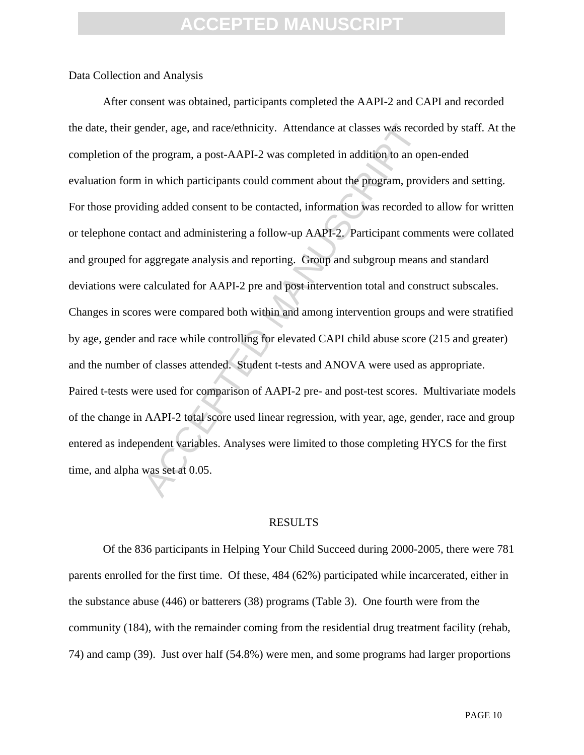#### Data Collection and Analysis

ender, age, and race/ethnicity. Attendance at classes was recorded the program, a post-AAPI-2 was completed in addition to an op in which participants could comment about the program, proving added consent to be contacted, After consent was obtained, participants completed the AAPI-2 and CAPI and recorded the date, their gender, age, and race/ethnicity. Attendance at classes was recorded by staff. At the completion of the program, a post-AAPI-2 was completed in addition to an open-ended evaluation form in which participants could comment about the program, providers and setting. For those providing added consent to be contacted, information was recorded to allow for written or telephone contact and administering a follow-up AAPI-2. Participant comments were collated and grouped for aggregate analysis and reporting. Group and subgroup means and standard deviations were calculated for AAPI-2 pre and post intervention total and construct subscales. Changes in scores were compared both within and among intervention groups and were stratified by age, gender and race while controlling for elevated CAPI child abuse score (215 and greater) and the number of classes attended. Student t-tests and ANOVA were used as appropriate. Paired t-tests were used for comparison of AAPI-2 pre- and post-test scores. Multivariate models of the change in AAPI-2 total score used linear regression, with year, age, gender, race and group entered as independent variables. Analyses were limited to those completing HYCS for the first time, and alpha was set at 0.05.

#### RESULTS

Of the 836 participants in Helping Your Child Succeed during 2000-2005, there were 781 parents enrolled for the first time. Of these, 484 (62%) participated while incarcerated, either in the substance abuse (446) or batterers (38) programs (Table 3). One fourth were from the community (184), with the remainder coming from the residential drug treatment facility (rehab, 74) and camp (39). Just over half (54.8%) were men, and some programs had larger proportions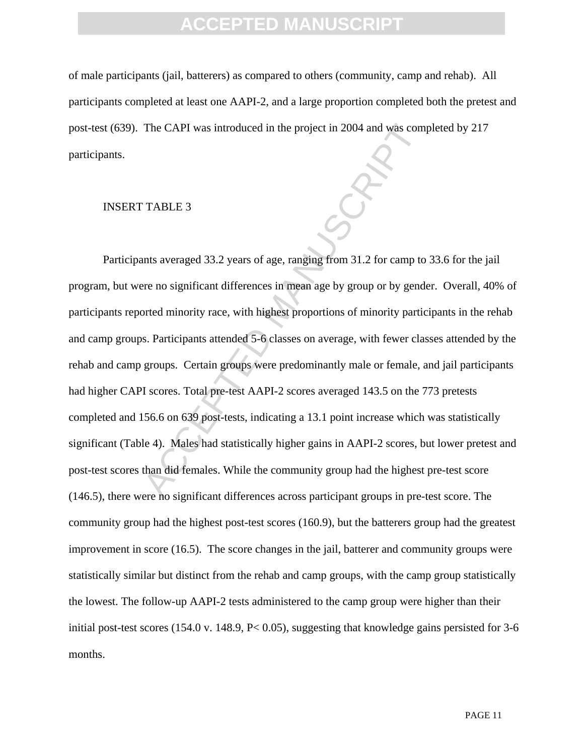of male participants (jail, batterers) as compared to others (community, camp and rehab). All participants completed at least one AAPI-2, and a large proportion completed both the pretest and post-test (639). The CAPI was introduced in the project in 2004 and was completed by 217 participants.

#### INSERT TABLE 3

The CAPI was introduced in the project in 2004 and was comments<br>
TABLE 3<br>
Ints averaged 33.2 years of age, ranging from 31.2 for camp to<br>
there no significant differences in mean age by group or by gend<br>
orted minority rac Participants averaged 33.2 years of age, ranging from 31.2 for camp to 33.6 for the jail program, but were no significant differences in mean age by group or by gender. Overall, 40% of participants reported minority race, with highest proportions of minority participants in the rehab and camp groups. Participants attended 5-6 classes on average, with fewer classes attended by the rehab and camp groups. Certain groups were predominantly male or female, and jail participants had higher CAPI scores. Total pre-test AAPI-2 scores averaged 143.5 on the 773 pretests completed and 156.6 on 639 post-tests, indicating a 13.1 point increase which was statistically significant (Table 4). Males had statistically higher gains in AAPI-2 scores, but lower pretest and post-test scores than did females. While the community group had the highest pre-test score (146.5), there were no significant differences across participant groups in pre-test score. The community group had the highest post-test scores (160.9), but the batterers group had the greatest improvement in score (16.5). The score changes in the jail, batterer and community groups were statistically similar but distinct from the rehab and camp groups, with the camp group statistically the lowest. The follow-up AAPI-2 tests administered to the camp group were higher than their initial post-test scores (154.0 v. 148.9, P< 0.05), suggesting that knowledge gains persisted for 3-6 months.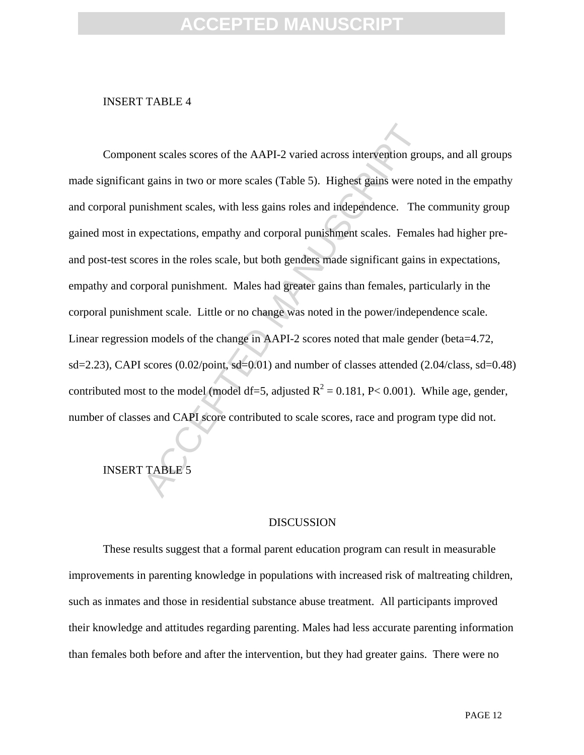#### INSERT TABLE 4

ent scales scores of the AAPI-2 varied across intervention grot<br>
agains in two or more scales (Table 5). Highest gains were not<br>
mishment scales, with less gains roles and independence. The<br>
expectations, empathy and corp Component scales scores of the AAPI-2 varied across intervention groups, and all groups made significant gains in two or more scales (Table 5). Highest gains were noted in the empathy and corporal punishment scales, with less gains roles and independence. The community group gained most in expectations, empathy and corporal punishment scales. Females had higher preand post-test scores in the roles scale, but both genders made significant gains in expectations, empathy and corporal punishment. Males had greater gains than females, particularly in the corporal punishment scale. Little or no change was noted in the power/independence scale. Linear regression models of the change in AAPI-2 scores noted that male gender (beta=4.72, sd=2.23), CAPI scores (0.02/point, sd=0.01) and number of classes attended (2.04/class, sd=0.48) contributed most to the model (model df=5, adjusted  $R^2 = 0.181$ , P< 0.001). While age, gender, number of classes and CAPI score contributed to scale scores, race and program type did not.

INSERT TABLE 5

#### **DISCUSSION**

These results suggest that a formal parent education program can result in measurable improvements in parenting knowledge in populations with increased risk of maltreating children, such as inmates and those in residential substance abuse treatment. All participants improved their knowledge and attitudes regarding parenting. Males had less accurate parenting information than females both before and after the intervention, but they had greater gains. There were no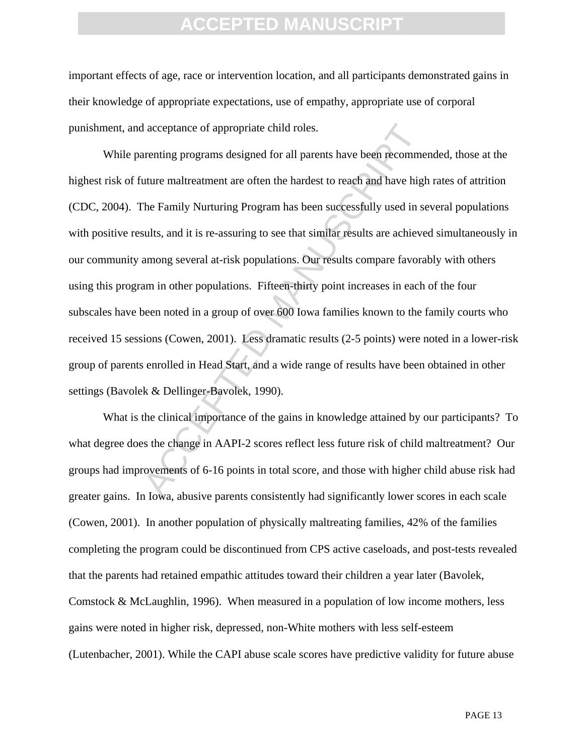important effects of age, race or intervention location, and all participants demonstrated gains in their knowledge of appropriate expectations, use of empathy, appropriate use of corporal punishment, and acceptance of appropriate child roles.

I acceptance of appropriate child roles.<br>
arenting programs designed for all parents have been recomme<br>
uture maltreatment are often the hardest to reach and have high<br>
The Family Nurturing Program has been successfully us While parenting programs designed for all parents have been recommended, those at the highest risk of future maltreatment are often the hardest to reach and have high rates of attrition (CDC, 2004). The Family Nurturing Program has been successfully used in several populations with positive results, and it is re-assuring to see that similar results are achieved simultaneously in our community among several at-risk populations. Our results compare favorably with others using this program in other populations. Fifteen-thirty point increases in each of the four subscales have been noted in a group of over 600 Iowa families known to the family courts who received 15 sessions (Cowen, 2001). Less dramatic results (2-5 points) were noted in a lower-risk group of parents enrolled in Head Start, and a wide range of results have been obtained in other settings (Bavolek & Dellinger-Bavolek, 1990).

What is the clinical importance of the gains in knowledge attained by our participants? To what degree does the change in AAPI-2 scores reflect less future risk of child maltreatment? Our groups had improvements of 6-16 points in total score, and those with higher child abuse risk had greater gains. In Iowa, abusive parents consistently had significantly lower scores in each scale (Cowen, 2001). In another population of physically maltreating families, 42% of the families completing the program could be discontinued from CPS active caseloads, and post-tests revealed that the parents had retained empathic attitudes toward their children a year later (Bavolek, Comstock & McLaughlin, 1996). When measured in a population of low income mothers, less gains were noted in higher risk, depressed, non-White mothers with less self-esteem (Lutenbacher, 2001). While the CAPI abuse scale scores have predictive validity for future abuse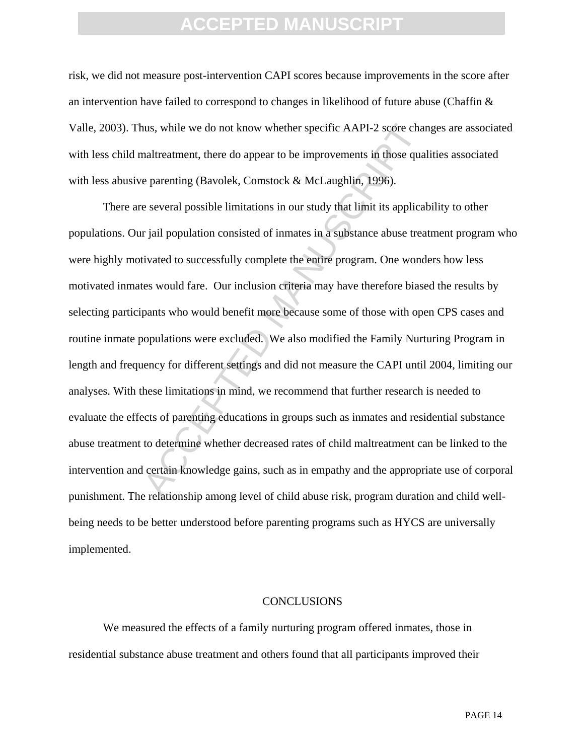risk, we did not measure post-intervention CAPI scores because improvements in the score after an intervention have failed to correspond to changes in likelihood of future abuse (Chaffin & Valle, 2003). Thus, while we do not know whether specific AAPI-2 score changes are associated with less child maltreatment, there do appear to be improvements in those qualities associated with less abusive parenting (Bavolek, Comstock & McLaughlin, 1996).

nus, while we do not know whether specific AAPI-2 score channot<br>and treatment, there do appear to be improvements in those qua<br>e parenting (Bavolek, Comstock & McLaughlin, 1996).<br>e several possible limitations in our study There are several possible limitations in our study that limit its applicability to other populations. Our jail population consisted of inmates in a substance abuse treatment program who were highly motivated to successfully complete the entire program. One wonders how less motivated inmates would fare. Our inclusion criteria may have therefore biased the results by selecting participants who would benefit more because some of those with open CPS cases and routine inmate populations were excluded. We also modified the Family Nurturing Program in length and frequency for different settings and did not measure the CAPI until 2004, limiting our analyses. With these limitations in mind, we recommend that further research is needed to evaluate the effects of parenting educations in groups such as inmates and residential substance abuse treatment to determine whether decreased rates of child maltreatment can be linked to the intervention and certain knowledge gains, such as in empathy and the appropriate use of corporal punishment. The relationship among level of child abuse risk, program duration and child wellbeing needs to be better understood before parenting programs such as HYCS are universally implemented.

#### CONCLUSIONS

We measured the effects of a family nurturing program offered inmates, those in residential substance abuse treatment and others found that all participants improved their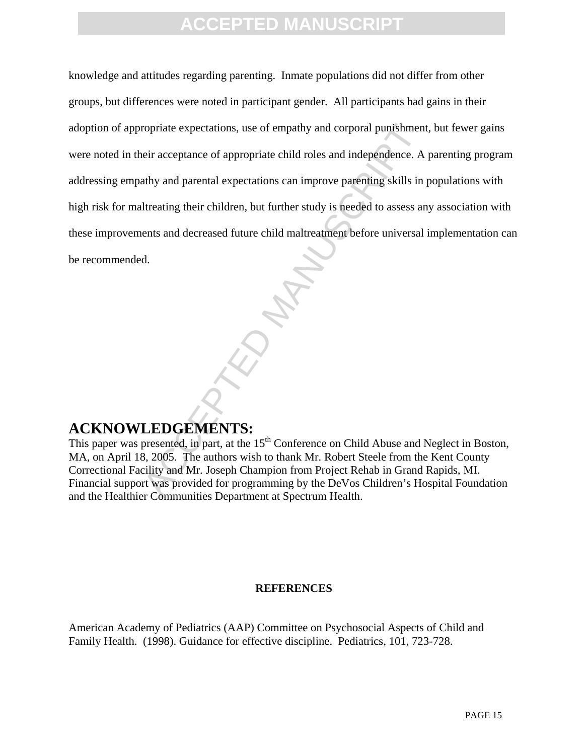ropriate expectations, use of empathy and corporal punishment<br>
eir acceptance of appropriate child roles and independence. A<br>
athy and parental expectations can improve parenting skills in<br>
Itreating their children, but fu knowledge and attitudes regarding parenting. Inmate populations did not differ from other groups, but differences were noted in participant gender. All participants had gains in their adoption of appropriate expectations, use of empathy and corporal punishment, but fewer gains were noted in their acceptance of appropriate child roles and independence. A parenting program addressing empathy and parental expectations can improve parenting skills in populations with high risk for maltreating their children, but further study is needed to assess any association with these improvements and decreased future child maltreatment before universal implementation can be recommended.

### **ACKNOWLEDGEMENTS:**

This paper was presented, in part, at the 15<sup>th</sup> Conference on Child Abuse and Neglect in Boston, MA, on April 18, 2005. The authors wish to thank Mr. Robert Steele from the Kent County Correctional Facility and Mr. Joseph Champion from Project Rehab in Grand Rapids, MI. Financial support was provided for programming by the DeVos Children's Hospital Foundation and the Healthier Communities Department at Spectrum Health.

#### **REFERENCES**

American Academy of Pediatrics (AAP) Committee on Psychosocial Aspects of Child and Family Health. (1998). Guidance for effective discipline. Pediatrics, 101, 723-728.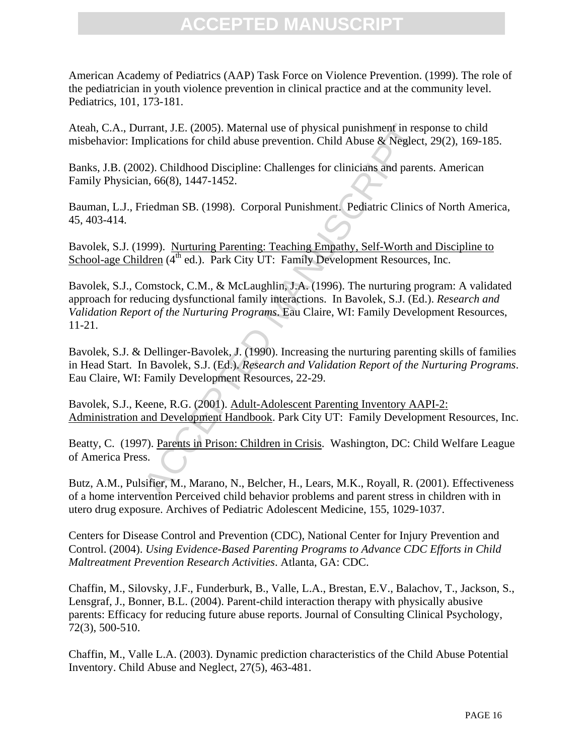American Academy of Pediatrics (AAP) Task Force on Violence Prevention. (1999). The role of the pediatrician in youth violence prevention in clinical practice and at the community level. Pediatrics, 101, 173-181.

Ateah, C.A., Durrant, J.E. (2005). Maternal use of physical punishment in response to child misbehavior: Implications for child abuse prevention. Child Abuse & Neglect, 29(2), 169-185.

Banks, J.B. (2002). Childhood Discipline: Challenges for clinicians and parents. American Family Physician, 66(8), 1447-1452.

Bauman, L.J., Friedman SB. (1998). Corporal Punishment. Pediatric Clinics of North America, 45, 403-414.

Bavolek, S.J. (1999). Nurturing Parenting: Teaching Empathy, Self-Worth and Discipline to School-age Children  $(4<sup>th</sup>$  ed.). Park City UT: Family Development Resources, Inc.

Irrant, J.E. (2005). Maternal use of physical punishment in resp<br>plications for child abuse prevention. Child Abuse & Neglect,<br>22). Childhood Discipline: Challenges for clinicians and parent<br>n, 66(8), 1447-1452.<br>riedman SB Bavolek, S.J., Comstock, C.M., & McLaughlin, J.A. (1996). The nurturing program: A validated approach for reducing dysfunctional family interactions. In Bavolek, S.J. (Ed.). *Research and Validation Report of the Nurturing Programs*. Eau Claire, WI: Family Development Resources, 11-21.

Bavolek, S.J. & Dellinger-Bavolek, J. (1990). Increasing the nurturing parenting skills of families in Head Start. In Bavolek, S.J. (Ed.). *Research and Validation Report of the Nurturing Programs*. Eau Claire, WI: Family Development Resources, 22-29.

Bavolek, S.J., Keene, R.G. (2001). Adult-Adolescent Parenting Inventory AAPI-2: Administration and Development Handbook. Park City UT: Family Development Resources, Inc.

Beatty, C. (1997). Parents in Prison: Children in Crisis. Washington, DC: Child Welfare League of America Press.

Butz, A.M., Pulsifier, M., Marano, N., Belcher, H., Lears, M.K., Royall, R. (2001). Effectiveness of a home intervention Perceived child behavior problems and parent stress in children with in utero drug exposure. Archives of Pediatric Adolescent Medicine, 155, 1029-1037.

Centers for Disease Control and Prevention (CDC), National Center for Injury Prevention and Control. (2004). *Using Evidence-Based Parenting Programs to Advance CDC Efforts in Child Maltreatment Prevention Research Activities*. Atlanta, GA: CDC.

Chaffin, M., Silovsky, J.F., Funderburk, B., Valle, L.A., Brestan, E.V., Balachov, T., Jackson, S., Lensgraf, J., Bonner, B.L. (2004). Parent-child interaction therapy with physically abusive parents: Efficacy for reducing future abuse reports. Journal of Consulting Clinical Psychology, 72(3), 500-510.

Chaffin, M., Valle L.A. (2003). Dynamic prediction characteristics of the Child Abuse Potential Inventory. Child Abuse and Neglect, 27(5), 463-481.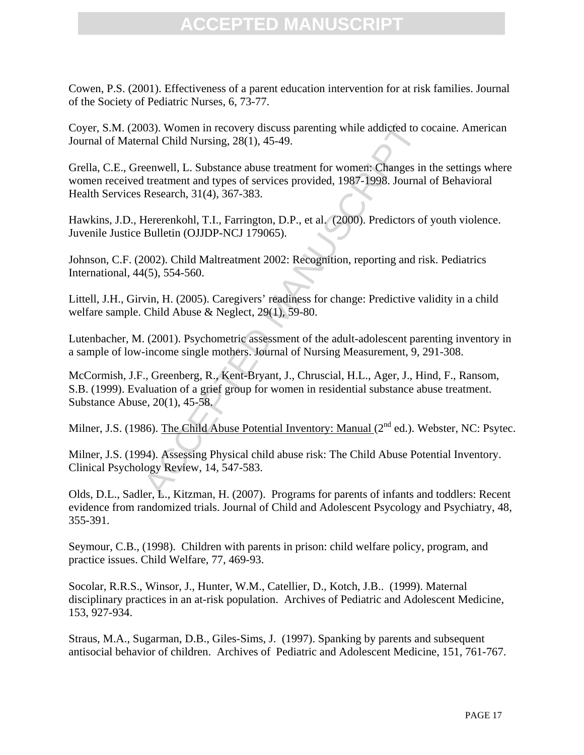Cowen, P.S. (2001). Effectiveness of a parent education intervention for at risk families. Journal of the Society of Pediatric Nurses, 6, 73-77.

Coyer, S.M. (2003). Women in recovery discuss parenting while addicted to cocaine. American Journal of Maternal Child Nursing, 28(1), 45-49.

03). Women in recovery discuss parenting while addicted to cond Child Nursing, 28(1), 45-49.<br>
eenwell, L. Substance abuse treatment for women: Changes in<br>
treatment and types of services provided, 1987-1998. Journal<br>
Rese Grella, C.E., Greenwell, L. Substance abuse treatment for women: Changes in the settings where women received treatment and types of services provided, 1987-1998. Journal of Behavioral Health Services Research, 31(4), 367-383.

Hawkins, J.D., Hererenkohl, T.I., Farrington, D.P., et al. (2000). Predictors of youth violence. Juvenile Justice Bulletin (OJJDP-NCJ 179065).

Johnson, C.F. (2002). Child Maltreatment 2002: Recognition, reporting and risk. Pediatrics International, 44(5), 554-560.

Littell, J.H., Girvin, H. (2005). Caregivers' readiness for change: Predictive validity in a child welfare sample. Child Abuse & Neglect, 29(1), 59-80.

Lutenbacher, M. (2001). Psychometric assessment of the adult-adolescent parenting inventory in a sample of low-income single mothers. Journal of Nursing Measurement, 9, 291-308.

McCormish, J.F., Greenberg, R., Kent-Bryant, J., Chruscial, H.L., Ager, J., Hind, F., Ransom, S.B. (1999). Evaluation of a grief group for women in residential substance abuse treatment. Substance Abuse, 20(1), 45-58.

Milner, J.S. (1986). The Child Abuse Potential Inventory: Manual (2<sup>nd</sup> ed.). Webster, NC: Psytec.

Milner, J.S. (1994). Assessing Physical child abuse risk: The Child Abuse Potential Inventory. Clinical Psychology Review, 14, 547-583.

Olds, D.L., Sadler, L., Kitzman, H. (2007). Programs for parents of infants and toddlers: Recent evidence from randomized trials. Journal of Child and Adolescent Psycology and Psychiatry, 48, 355-391.

Seymour, C.B., (1998). Children with parents in prison: child welfare policy, program, and practice issues. Child Welfare, 77, 469-93.

Socolar, R.R.S., Winsor, J., Hunter, W.M., Catellier, D., Kotch, J.B.. (1999). Maternal disciplinary practices in an at-risk population. Archives of Pediatric and Adolescent Medicine, 153, 927-934.

Straus, M.A., Sugarman, D.B., Giles-Sims, J. (1997). Spanking by parents and subsequent antisocial behavior of children. Archives of Pediatric and Adolescent Medicine, 151, 761-767.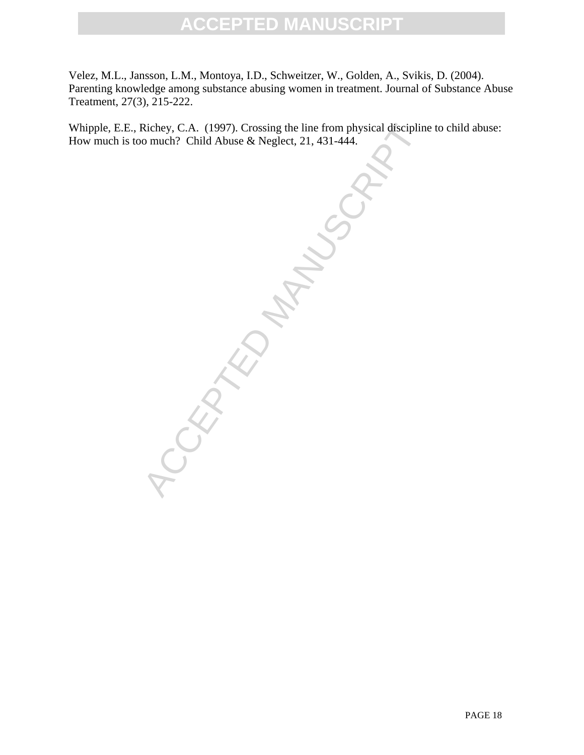Velez, M.L., Jansson, L.M., Montoya, I.D., Schweitzer, W., Golden, A., Svikis, D. (2004). Parenting knowledge among substance abusing women in treatment. Journal of Substance Abuse Treatment, 27(3), 215-222.

Whipple, E.E., Richey, C.A. (1997). Crossing the line from physical discipline to child abuse: How much is too much? Child Abuse & Neglect, 21, 431-444.

ACCEPTED MANUS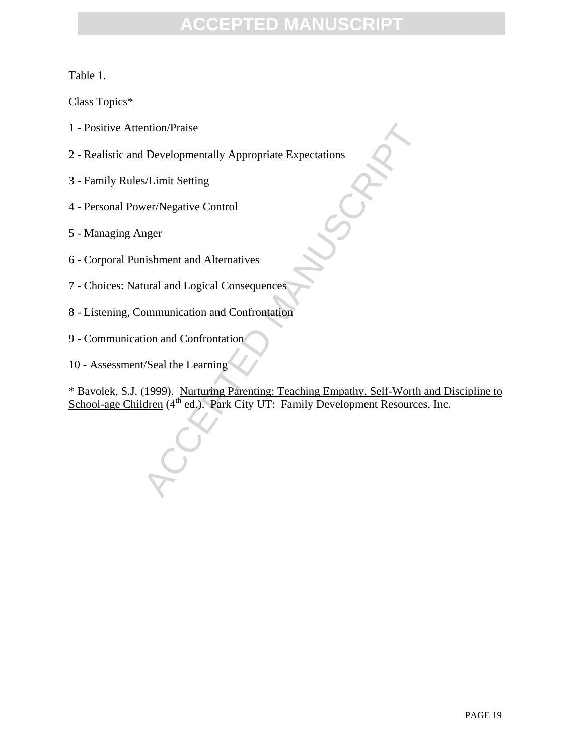Table 1.

Class Topics\*

- 1 Positive Attention/Praise
- 2 Realistic and Developmentally Appropriate Expectations
- 3 Family Rules/Limit Setting
- 4 Personal Power/Negative Control
- 5 Managing Anger
- 6 Corporal Punishment and Alternatives
- 7 Choices: Natural and Logical Consequences
- 8 Listening, Communication and Confrontation
- 9 Communication and Confrontation
- 10 Assessment/Seal the Learning

ntion/Praise<br>
I Developmentally Appropriate Expectations<br>
S/Limit Setting<br>
ver/Negative Control<br>
mger<br>
nishment and Alternatives<br>
tural and Logical Consequences<br>
mmunication and Confrontation<br>
ion and Confrontation<br>
(Seal \* Bavolek, S.J. (1999). Nurturing Parenting: Teaching Empathy, Self-Worth and Discipline to School-age Children (4<sup>th</sup> ed.). Park City UT: Family Development Resources, Inc.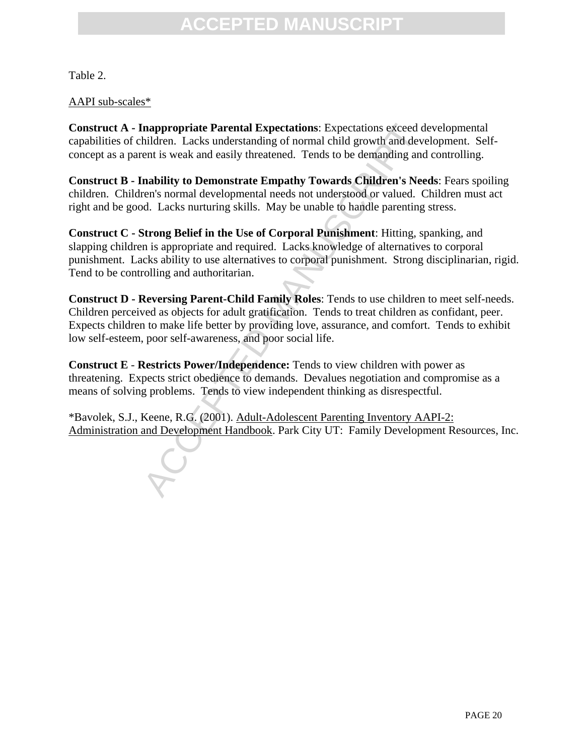Table 2.

#### AAPI sub-scales\*

**Construct A - Inappropriate Parental Expectations**: Expectations exceed developmental capabilities of children. Lacks understanding of normal child growth and development. Selfconcept as a parent is weak and easily threatened. Tends to be demanding and controlling.

**Construct B - Inability to Demonstrate Empathy Towards Children's Needs**: Fears spoiling children. Children's normal developmental needs not understood or valued. Children must act right and be good. Lacks nurturing skills. May be unable to handle parenting stress.

**Construct C - Strong Belief in the Use of Corporal Punishment**: Hitting, spanking, and slapping children is appropriate and required. Lacks knowledge of alternatives to corporal punishment. Lacks ability to use alternatives to corporal punishment. Strong disciplinarian, rigid. Tend to be controlling and authoritarian.

**Inappropriate Parental Expectations**: Expectations exceed d<br>hildren. Lacks understanding of normal child growth and devent is weak and easily threatened. Tends to be demanding and<br>**ability to Demonstrate Empathy Towards C Construct D - Reversing Parent-Child Family Roles**: Tends to use children to meet self-needs. Children perceived as objects for adult gratification. Tends to treat children as confidant, peer. Expects children to make life better by providing love, assurance, and comfort. Tends to exhibit low self-esteem, poor self-awareness, and poor social life.

**Construct E** - **Restricts Power/Independence:** Tends to view children with power as threatening. Expects strict obedience to demands. Devalues negotiation and compromise as a means of solving problems. Tends to view independent thinking as disrespectful.

\*Bavolek, S.J., Keene, R.G. (2001). Adult-Adolescent Parenting Inventory AAPI-2: Administration and Development Handbook. Park City UT: Family Development Resources, Inc.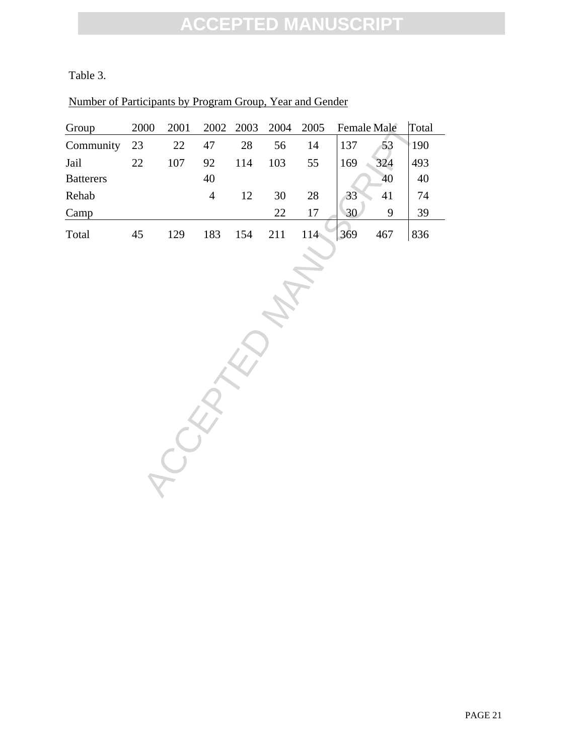### Table 3.

#### Number of Participants by Program Group, Year and Gender

| Group            | 2000   | 2001    | 2002           | 2003   | 2004   | 2005   | <b>Female Male</b> |     | Total  |
|------------------|--------|---------|----------------|--------|--------|--------|--------------------|-----|--------|
| Community        | $23\,$ | $22\,$  | $47\,$         | $28\,$ | 56     | 14     | 137                | 53  | 190    |
| Jail             | $22\,$ | $107\,$ | 92             | 114    | 103    | 55     | 169                | 324 | 493    |
| <b>Batterers</b> |        |         | $40\,$         |        |        |        |                    | 40  | $40\,$ |
| Rehab            |        |         | $\overline{4}$ | 12     | $30\,$ | $28\,$ | 33                 | 41  | 74     |
| Camp             |        |         |                |        | 22     | $17\,$ | 30                 | 9   | 39     |
| Total            | 45     | 129     | 183            | 154    | 211    | 114    | 369                | 467 | 836    |
|                  |        |         |                |        |        |        |                    |     |        |
|                  |        |         |                |        |        |        |                    |     |        |
|                  |        |         |                |        |        |        |                    |     |        |
|                  |        |         |                |        |        |        |                    |     |        |
|                  |        |         |                |        |        |        |                    |     |        |
|                  |        |         |                |        |        |        |                    |     |        |
|                  |        |         |                |        |        |        |                    |     |        |
|                  |        |         |                |        |        |        |                    |     |        |
|                  |        |         |                |        |        |        |                    |     |        |
|                  |        |         |                |        |        |        |                    |     |        |
|                  |        |         |                |        |        |        |                    |     |        |
|                  |        |         |                |        |        |        |                    |     |        |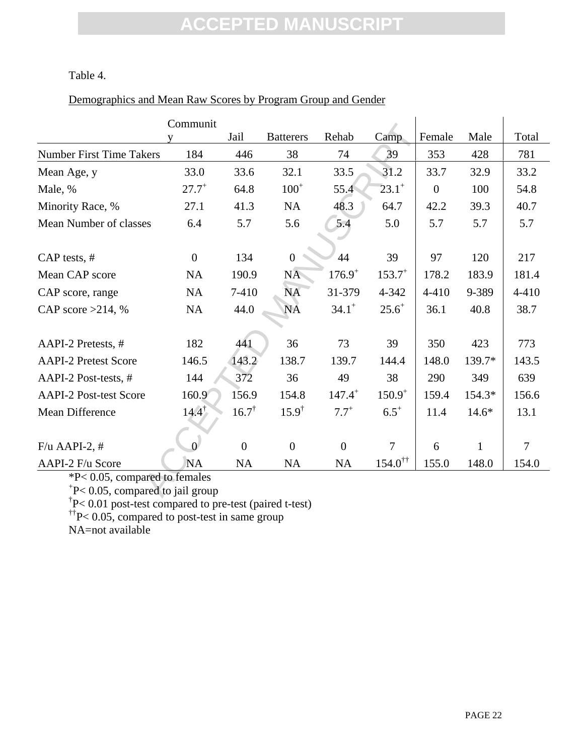Table 4.

### Demographics and Mean Raw Scores by Program Group and Gender

|                                    | Communit         |                  |                  |                |                          |                  |              |           |  |
|------------------------------------|------------------|------------------|------------------|----------------|--------------------------|------------------|--------------|-----------|--|
|                                    | v                | Jail             | <b>Batterers</b> | Rehab          | Camp                     | Female           | Male         | Total     |  |
| <b>Number First Time Takers</b>    | 184              | 446              | 38               | 74             | 39                       | 353              | 428          | 781       |  |
| Mean Age, y                        | 33.0             | 33.6             | 32.1             | 33.5           | 31.2                     | 33.7             | 32.9         | 33.2      |  |
| Male, %                            | $27.7^{+}$       | 64.8             | $100^{+}$        | 55.4           | $23.1^{+}$               | $\boldsymbol{0}$ | 100          | 54.8      |  |
| Minority Race, %                   | 27.1             | 41.3             | <b>NA</b>        | 48.3           | 64.7                     | 42.2             | 39.3         | 40.7      |  |
| Mean Number of classes             | 6.4              | 5.7              | 5.6              | 5.4            | 5.0                      | 5.7              | 5.7          | 5.7       |  |
|                                    |                  |                  |                  |                |                          |                  |              |           |  |
| $CAP$ tests, $#$                   | $\boldsymbol{0}$ | 134              | $\mathbf{0}$     | 44             | 39                       | 97               | 120          | 217       |  |
| Mean CAP score                     | <b>NA</b>        | 190.9            | NA               | $176.9^{+}$    | $153.7^{+}$              | 178.2            | 183.9        | 181.4     |  |
| CAP score, range                   | <b>NA</b>        | 7-410            | <b>NA</b>        | 31-379         | 4-342                    | $4 - 410$        | 9-389        | $4 - 410$ |  |
| CAP score $>214$ , %               | <b>NA</b>        | 44.0             | <b>NA</b>        | $34.1^{+}$     | $25.6^{+}$               | 36.1             | 40.8         | 38.7      |  |
|                                    |                  |                  |                  |                |                          |                  |              |           |  |
| AAPI-2 Pretests, #                 | 182              | 441              | 36               | 73             | 39                       | 350              | 423          | 773       |  |
| <b>AAPI-2 Pretest Score</b>        | 146.5            | 143.2            | 138.7            | 139.7          | 144.4                    | 148.0            | 139.7*       | 143.5     |  |
| AAPI-2 Post-tests, #               | 144              | 372              | 36               | 49             | 38                       | 290              | 349          | 639       |  |
| <b>AAPI-2 Post-test Score</b>      | 160.9            | 156.9            | 154.8            | $147.4^{+}$    | $150.9^{+}$              | 159.4            | 154.3*       | 156.6     |  |
| <b>Mean Difference</b>             | $14.4^{\dagger}$ | $16.7^{\dagger}$ | $15.9^{\dagger}$ | $7.7^{+}$      | $6.5^{+}$                | 11.4             | $14.6*$      | 13.1      |  |
|                                    |                  |                  |                  |                |                          |                  |              |           |  |
| $F/u$ AAPI-2, #                    | $\Omega$         | $\overline{0}$   | $\overline{0}$   | $\overline{0}$ | $\overline{7}$           | 6                | $\mathbf{1}$ | 7         |  |
| AAPI-2 F/u Score                   | <b>NA</b>        | NA               | <b>NA</b>        | NA             | $154.0^{\dagger\dagger}$ | 155.0            | 148.0        | 154.0     |  |
| *P< 0.05, compared to females      |                  |                  |                  |                |                          |                  |              |           |  |
| $P< 0.05$ , compared to jail group |                  |                  |                  |                |                          |                  |              |           |  |

\*P< 0.05, compared to females + P< 0.05, compared to jail group † P< 0.01 post-test compared to pre-test (paired t-test)

 $^{\dagger\dagger}P< 0.05$ , compared to post-test in same group

NA=not available